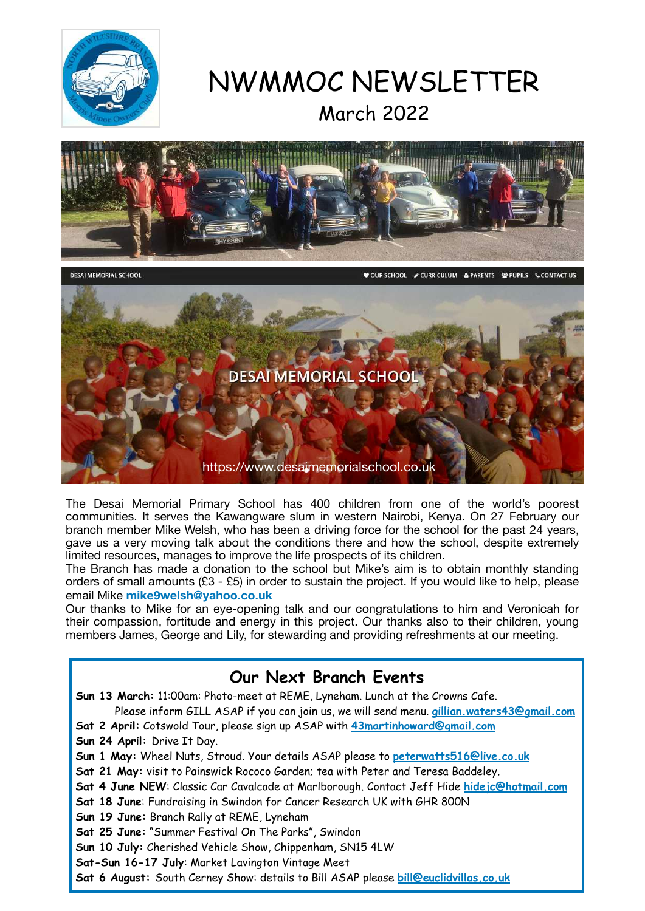

# NWMMOC NEWSLETTER March 2022



The Desai Memorial Primary School has 400 children from one of the world's poorest communities. It serves the Kawangware slum in western Nairobi, Kenya. On 27 February our branch member Mike Welsh, who has been a driving force for the school for the past 24 years, gave us a very moving talk about the conditions there and how the school, despite extremely limited resources, manages to improve the life prospects of its children.

The Branch has made a donation to the school but Mike's aim is to obtain monthly standing orders of small amounts (£3 - £5) in order to sustain the project. If you would like to help, please email Mike **[mike9welsh@yahoo.co.uk](mailto:mike9welsh@yahoo.co.uk)**

Our thanks to Mike for an eye-opening talk and our congratulations to him and Veronicah for their compassion, fortitude and energy in this project. Our thanks also to their children, young members James, George and Lily, for stewarding and providing refreshments at our meeting.

#### **Our Next Branch Events**

**Sun 13 March:** 11:00am: Photo-meet at REME, Lyneham. Lunch at the Crowns Cafe.

Please inform GILL ASAP if you can join us, we will send menu. **[gillian.waters43@gmail.com](mailto:gillian.waters43@gmail.com)**

**Sat 2 April:** Cotswold Tour, please sign up ASAP with **[43martinhoward@gmail.com](mailto:43martinhoward@gmail.com)**

**Sun 24 April:** Drive It Day.

**Sun 1 May:** Wheel Nuts, Stroud. Your details ASAP please to **[peterwatts516@live.co.uk](mailto:peterwatts516@live.co.uk)**

- **Sat 21 May:** visit to Painswick Rococo Garden; tea with Peter and Teresa Baddeley.
- **Sat 4 June NEW**: Classic Car Cavalcade at Marlborough. Contact Jeff Hide **[hidejc@hotmail.com](mailto:hidejc@hotmail.com)**
- **Sat 18 June**: Fundraising in Swindon for Cancer Research UK with GHR 800N

**Sun 19 June:** Branch Rally at REME, Lyneham

**Sat 25 June:** "Summer Festival On The Parks", Swindon

**Sun 10 July:** Cherished Vehicle Show, Chippenham, SN15 4LW

**Sat-Sun 16-17 July**: Market Lavington Vintage Meet

**Sat 6 August:** South Cerney Show: details to Bill ASAP please **[bill@euclidvillas.co.uk](mailto:bill@euclidvillas.co.uk)**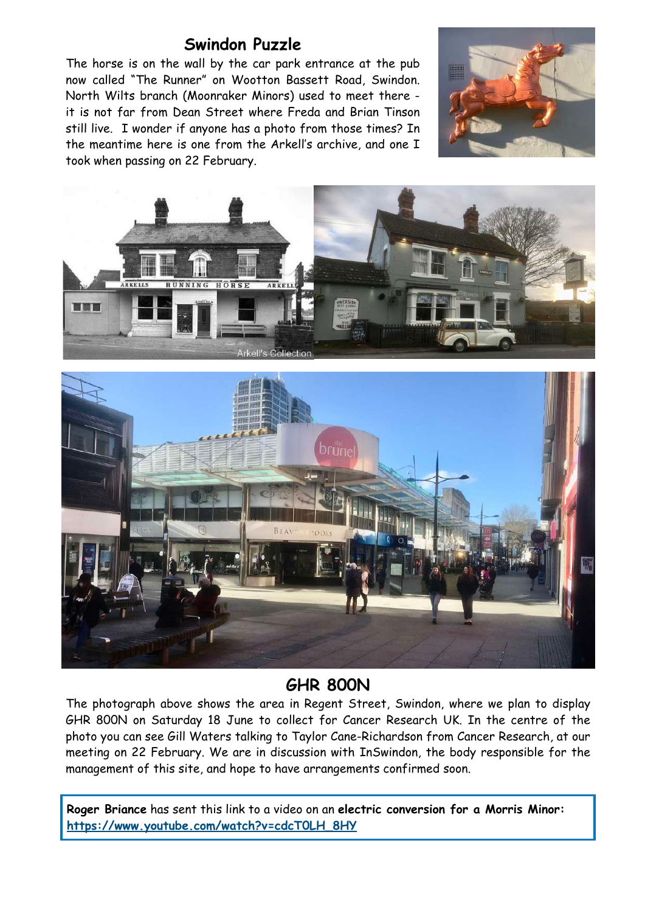#### **Swindon Puzzle**

The horse is on the wall by the car park entrance at the pub now called "The Runner" on Wootton Bassett Road, Swindon. North Wilts branch (Moonraker Minors) used to meet there it is not far from Dean Street where Freda and Brian Tinson still live. I wonder if anyone has a photo from those times? In the meantime here is one from the Arkell's archive, and one I took when passing on 22 February.







#### **GHR 800N**

The photograph above shows the area in Regent Street, Swindon, where we plan to display GHR 800N on Saturday 18 June to collect for Cancer Research UK. In the centre of the photo you can see Gill Waters talking to Taylor Cane-Richardson from Cancer Research, at our meeting on 22 February. We are in discussion with InSwindon, the body responsible for the management of this site, and hope to have arrangements confirmed soon.

**Roger Briance** has sent this link to a video on an **electric conversion for a Morris Minor: [https://www.youtube.com/watch?v=cdcT0LH\\_8HY](https://www.youtube.com/watch?v=cdcT0LH_8HY)**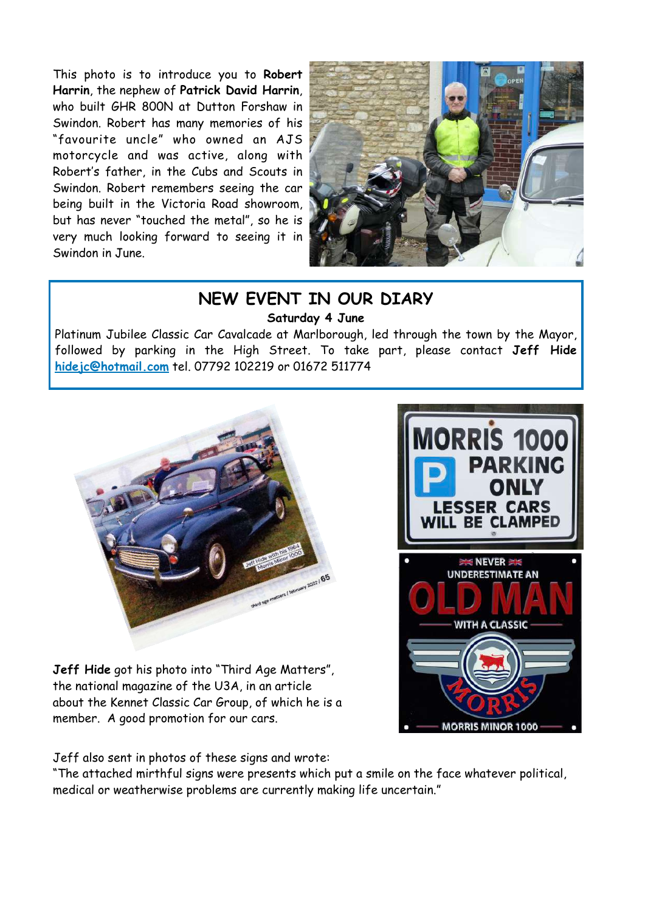This photo is to introduce you to **Robert Harrin**, the nephew of **Patrick David Harrin**, who built GHR 800N at Dutton Forshaw in Swindon. Robert has many memories of his "favourite uncle" who owned an AJS motorcycle and was active, along with Robert's father, in the Cubs and Scouts in Swindon. Robert remembers seeing the car being built in the Victoria Road showroom, but has never "touched the metal", so he is very much looking forward to seeing it in Swindon in June.



#### **NEW EVENT IN OUR DIARY Saturday 4 June**

Platinum Jubilee Classic Car Cavalcade at Marlborough, led through the town by the Mayor, followed by parking in the High Street. To take part, please contact **Jeff Hide [hidejc@hotmail.com](mailto:hidejc@hotmail.com)** tel. 07792 102219 or 01672 511774



**Jeff Hide** got his photo into "Third Age Matters", the national magazine of the U3A, in an article about the Kennet Classic Car Group, of which he is a member. A good promotion for our cars.

**RRIS 100 ESSER CARS BE CLAMPED EXEMENER UNDERESTIMATE AN WITH A CLASSIC MORRIS MINOR 1000** 

Jeff also sent in photos of these signs and wrote:

"The attached mirthful signs were presents which put a smile on the face whatever political, medical or weatherwise problems are currently making life uncertain."